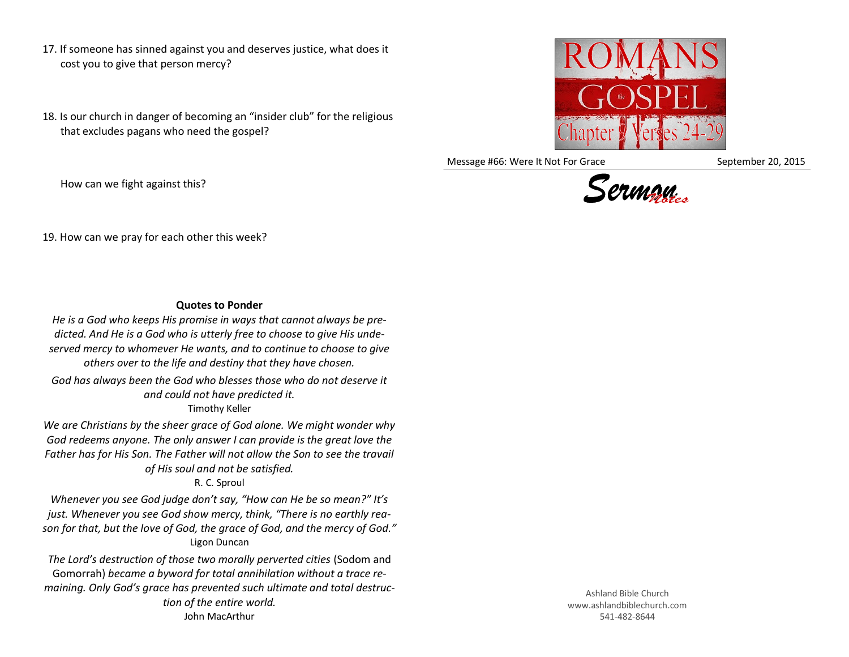- 17. If someone has sinned against you and deserves justice, what does it cost you to give that person mercy?
- 18. Is our church in danger of becoming an "insider club" for the religious that excludes pagans who need the gospel?



Message #66: Were It Not For Grace September 20, 2015



How can we fight against this?

19. How can we pray for each other this week?

## **Quotes to Ponder**

*He is a God who keeps His promise in ways that cannot always be predicted. And He is a God who is utterly free to choose to give His undeserved mercy to whomever He wants, and to continue to choose to give others over to the life and destiny that they have chosen.*

*God has always been the God who blesses those who do not deserve it and could not have predicted it.* Timothy Keller

*We are Christians by the sheer grace of God alone. We might wonder why God redeems anyone. The only answer I can provide is the great love the Father has for His Son. The Father will not allow the Son to see the travail of His soul and not be satisfied.*

R. C. Sproul

*Whenever you see God judge don't say, "How can He be so mean?" It's just. Whenever you see God show mercy, think, "There is no earthly reason for that, but the love of God, the grace of God, and the mercy of God."* Ligon Duncan

*The Lord's destruction of those two morally perverted cities* (Sodom and Gomorrah) *became a byword for total annihilation without a trace remaining. Only God's grace has prevented such ultimate and total destruction of the entire world.* John MacArthur

Ashland Bible Church www.ashlandbiblechurch.com 541-482-8644